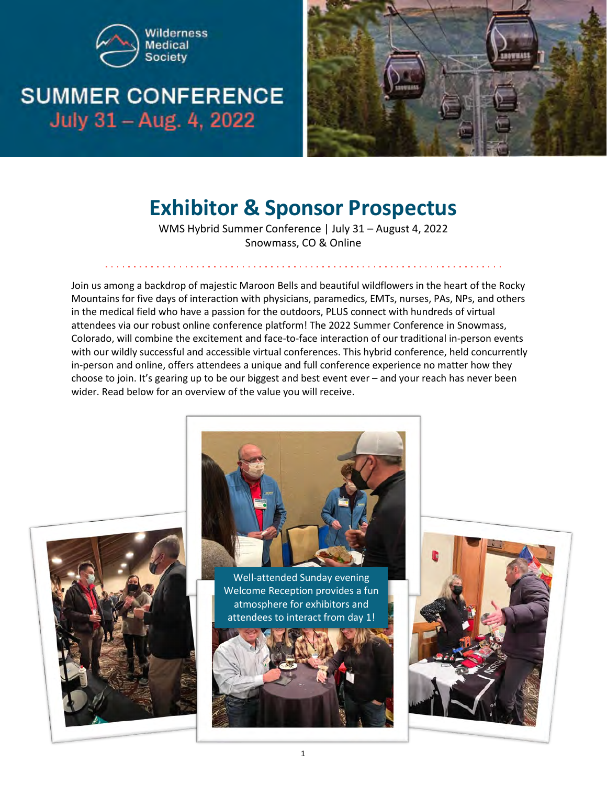

# **SUMMER CONFERENCE** July 31 - Aug. 4, 2022



# **Exhibitor & Sponsor Prospectus**

WMS Hybrid Summer Conference | July 31 – August 4, 2022 Snowmass, CO & Online

Join us among a backdrop of majestic Maroon Bells and beautiful wildflowers in the heart of the Rocky Mountains for five days of interaction with physicians, paramedics, EMTs, nurses, PAs, NPs, and others in the medical field who have a passion for the outdoors, PLUS connect with hundreds of virtual attendees via our robust online conference platform! The 2022 Summer Conference in Snowmass, Colorado, will combine the excitement and face-to-face interaction of our traditional in-person events with our wildly successful and accessible virtual conferences. This hybrid conference, held concurrently in-person and online, offers attendees a unique and full conference experience no matter how they choose to join. It's gearing up to be our biggest and best event ever – and your reach has never been wider. Read below for an overview of the value you will receive.





Well-attended Sunday evening Welcome Reception provides a fun atmosphere for exhibitors and attendees to interact from day 1!



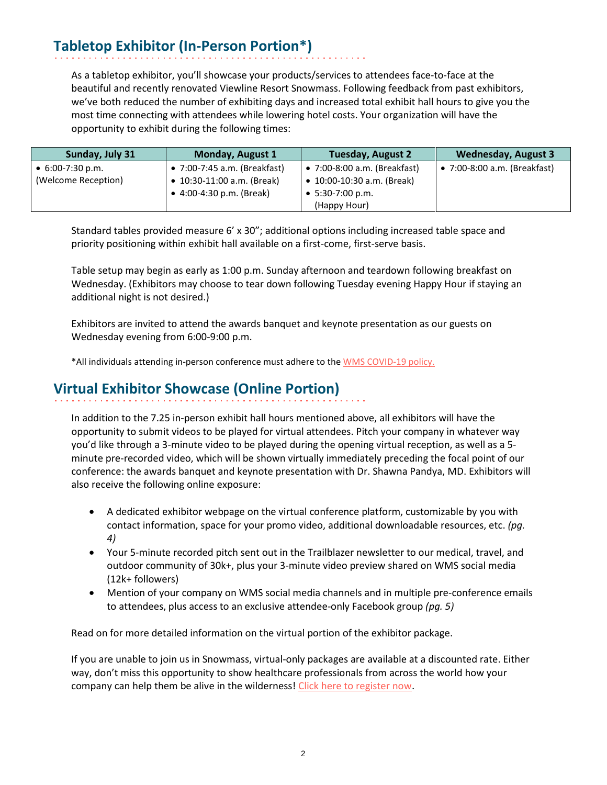## **Tabletop Exhibitor (In-Person Portion\*)**

As a tabletop exhibitor, you'll showcase your products/services to attendees face-to-face at the beautiful and recently renovated Viewline Resort Snowmass. Following feedback from past exhibitors, we've both reduced the number of exhibiting days and increased total exhibit hall hours to give you the most time connecting with attendees while lowering hotel costs. Your organization will have the opportunity to exhibit during the following times:

| Sunday, July 31          | <b>Monday, August 1</b>      | <b>Tuesday, August 2</b>     | <b>Wednesday, August 3</b>   |
|--------------------------|------------------------------|------------------------------|------------------------------|
| $\bullet$ 6:00-7:30 p.m. | • 7:00-7:45 a.m. (Breakfast) | • 7:00-8:00 a.m. (Breakfast) | • 7:00-8:00 a.m. (Breakfast) |
| (Welcome Reception)      | • 10:30-11:00 a.m. (Break)   | • 10:00-10:30 a.m. (Break)   |                              |
|                          | • $4:00-4:30$ p.m. (Break)   | $\bullet$ 5:30-7:00 p.m.     |                              |
|                          |                              | (Happy Hour)                 |                              |

Standard tables provided measure 6' x 30"; additional options including increased table space and priority positioning within exhibit hall available on a first-come, first-serve basis.

Table setup may begin as early as 1:00 p.m. Sunday afternoon and teardown following breakfast on Wednesday. (Exhibitors may choose to tear down following Tuesday evening Happy Hour if staying an additional night is not desired.)

Exhibitors are invited to attend the awards banquet and keynote presentation as our guests on Wednesday evening from 6:00-9:00 p.m.

\*All individuals attending in-person conference must adhere to the **WMS COVID-19 policy**.

## **Virtual Exhibitor Showcase (Online Portion)**

In addition to the 7.25 in-person exhibit hall hours mentioned above, all exhibitors will have the opportunity to submit videos to be played for virtual attendees. Pitch your company in whatever way you'd like through a 3-minute video to be played during the opening virtual reception, as well as a 5 minute pre-recorded video, which will be shown virtually immediately preceding the focal point of our conference: the awards banquet and keynote presentation with Dr. Shawna Pandya, MD. Exhibitors will also receive the following online exposure:

- A dedicated exhibitor webpage on the virtual conference platform, customizable by you with contact information, space for your promo video, additional downloadable resources, etc. *(pg. 4)*
- Your 5-minute recorded pitch sent out in the Trailblazer newsletter to our medical, travel, and outdoor community of 30k+, plus your 3-minute video preview shared on WMS social media (12k+ followers)
- Mention of your company on WMS social media channels and in multiple pre-conference emails to attendees, plus access to an exclusive attendee-only Facebook group *(pg. 5)*

Read on for more detailed information on the virtual portion of the exhibitor package.

If you are unable to join us in Snowmass, virtual-only packages are available at a discounted rate. Either way, don't miss this opportunity to show healthcare professionals from across the world how your company can help them be alive in the wilderness! [Click here to register now.](https://wms.org/conferences/vendor.asp)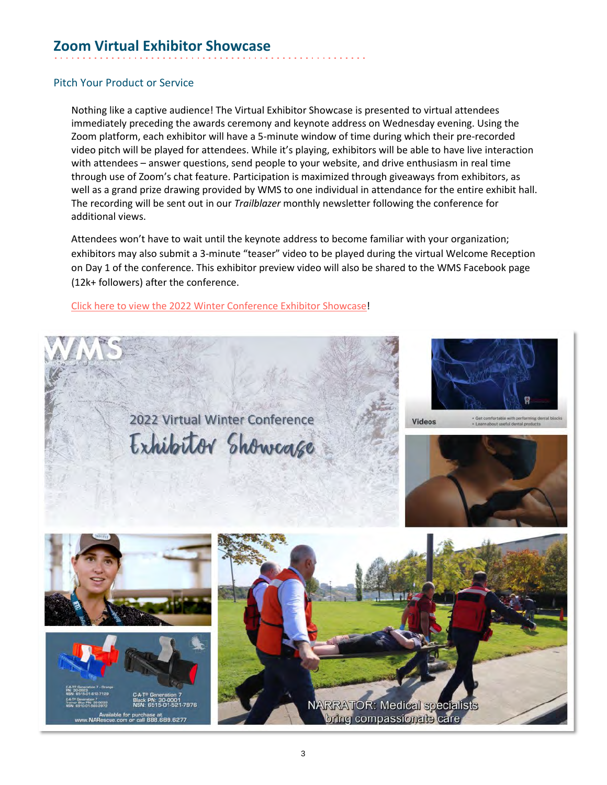## **Zoom Virtual Exhibitor Showcase**

#### Pitch Your Product or Service

Nothing like a captive audience! The Virtual Exhibitor Showcase is presented to virtual attendees immediately preceding the awards ceremony and keynote address on Wednesday evening. Using the Zoom platform, each exhibitor will have a 5-minute window of time during which their pre-recorded video pitch will be played for attendees. While it's playing, exhibitors will be able to have live interaction with attendees – answer questions, send people to your website, and drive enthusiasm in real time through use of Zoom's chat feature. Participation is maximized through giveaways from exhibitors, as well as a grand prize drawing provided by WMS to one individual in attendance for the entire exhibit hall. The recording will be sent out in our *Trailblazer* monthly newsletter following the conference for additional views.

Attendees won't have to wait until the keynote address to become familiar with your organization; exhibitors may also submit a 3-minute "teaser" video to be played during the virtual Welcome Reception on Day 1 of the conference. This exhibitor preview video will also be shared to the WMS Facebook page (12k+ followers) after the conference.

#### [Click here to view the 2022 Winter](https://youtu.be/A63XTl7N1uA) Conference Exhibitor Showcase!

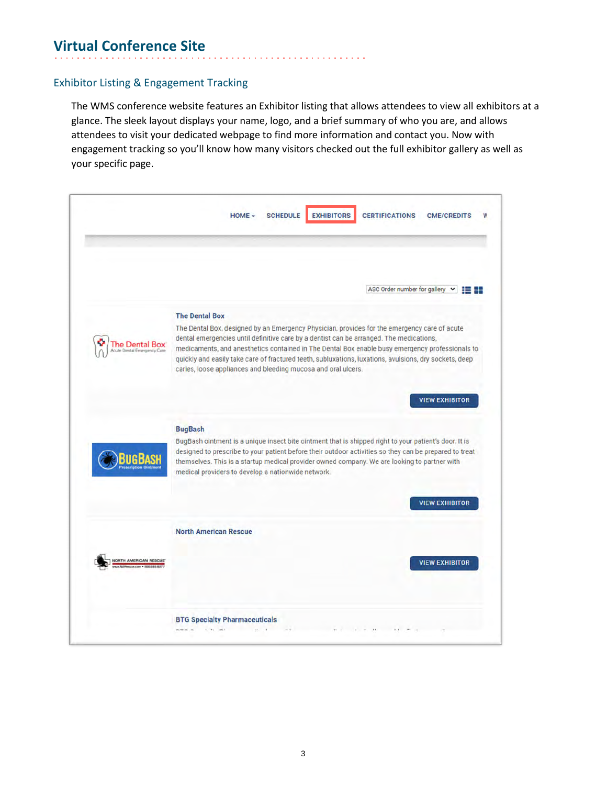## **Virtual Conference Site**

#### Exhibitor Listing & Engagement Tracking

The WMS conference website features an Exhibitor listing that allows attendees to view all exhibitors at a glance. The sleek layout displays your name, logo, and a brief summary of who you are, and allows attendees to visit your dedicated webpage to find more information and contact you. Now with engagement tracking so you'll know how many visitors checked out the full exhibitor gallery as well as your specific page.

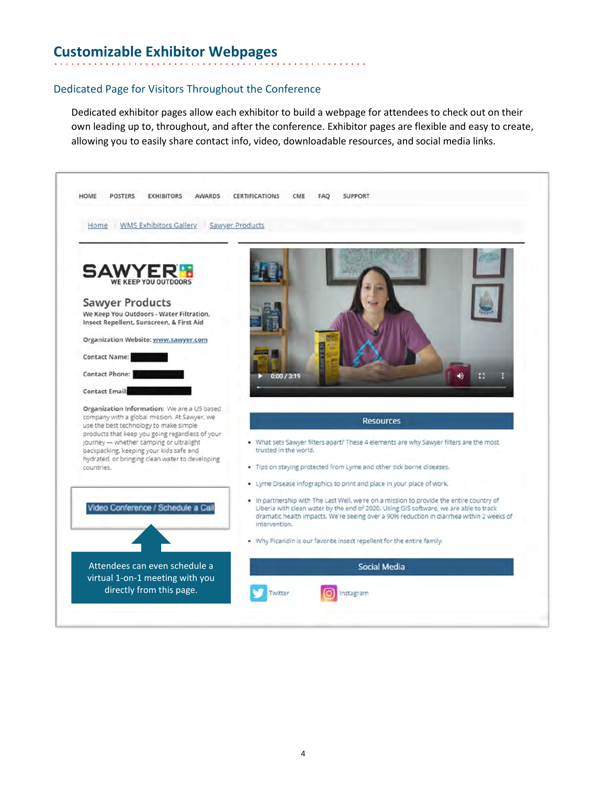## **Customizable Exhibitor Webpages**

#### Dedicated Page for Visitors Throughout the Conference

Dedicated exhibitor pages allow each exhibitor to build a webpage for attendees to check out on their own leading up to, throughout, and after the conference. Exhibitor pages are flexible and easy to create, allowing you to easily share contact info, video, downloadable resources, and social media links.

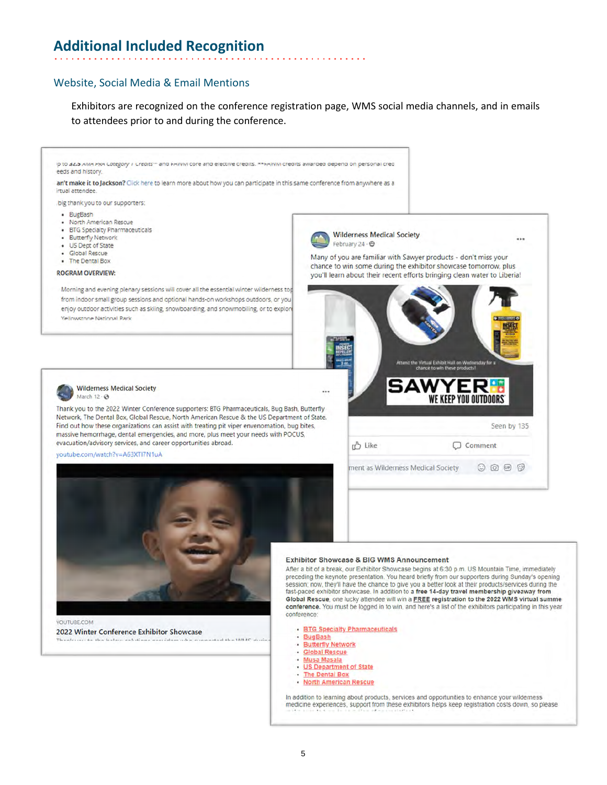### **Additional Included Recognition**

#### Website, Social Media & Email Mentions

Exhibitors are recognized on the conference registration page, WMS social media channels, and in emails to attendees prior to and during the conference.



In addition to learning about products, services and opportunities to enhance your wilderness medicine experiences, support from these exhibitors helps keep registration costs down, so please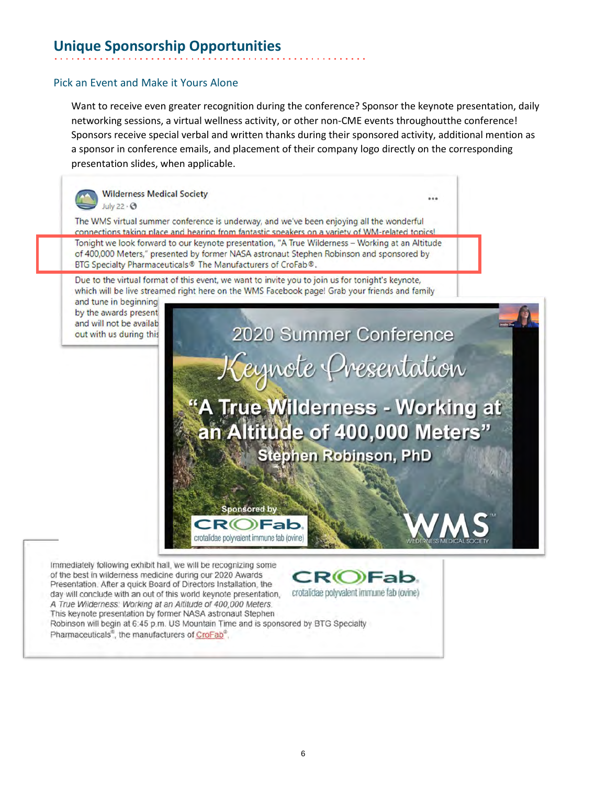## **Unique Sponsorship Opportunities**

#### Pick an Event and Make it Yours Alone

Want to receive even greater recognition during the conference? Sponsor the keynote presentation, daily networking sessions, a virtual wellness activity, or other non-CME events throughoutthe conference! Sponsors receive special verbal and written thanks during their sponsored activity, additional mention as a sponsor in conference emails, and placement of their company logo directly on the corresponding presentation slides, when applicable.



The WMS virtual summer conference is underway, and we've been enjoying all the wonderful connections taking place and hearing from fantastic speakers on a variety of WM-related topics! Tonight we look forward to our keynote presentation, "A True Wilderness - Working at an Altitude of 400,000 Meters," presented by former NASA astronaut Stephen Robinson and sponsored by BTG Specialty Pharmaceuticals® The Manufacturers of CroFab®.

Due to the virtual format of this event, we want to invite you to join us for tonight's keynote, which will be live streamed right here on the WMS Facebook page! Grab your friends and family

crotalidae polyvalent immune fab (ovine)

and tune in beginning by the awards present and will not be availab out with us during this

2020 Summer Conference Keynote Presentation **A True Wilderness - Working at** an Altitude of 400,000 Meters" **Stephen Robinson, PhD Sponsored by** 

Immediately following exhibit hall, we will be recognizing some of the best in wilderness medicine during our 2020 Awards  $CR$ (O)Fab. Presentation. After a quick Board of Directors Installation, the crotalidae polyvalent immune fab (ovine) day will conclude with an out of this world keynote presentation, A True Wilderness: Working at an Altitude of 400,000 Meters. This keynote presentation by former NASA astronaut Stephen Robinson will begin at 6:45 p.m. US Mountain Time and is sponsored by BTG Specialty Pharmaceuticals<sup>®</sup>, the manufacturers of CroFab<sup>®</sup>.